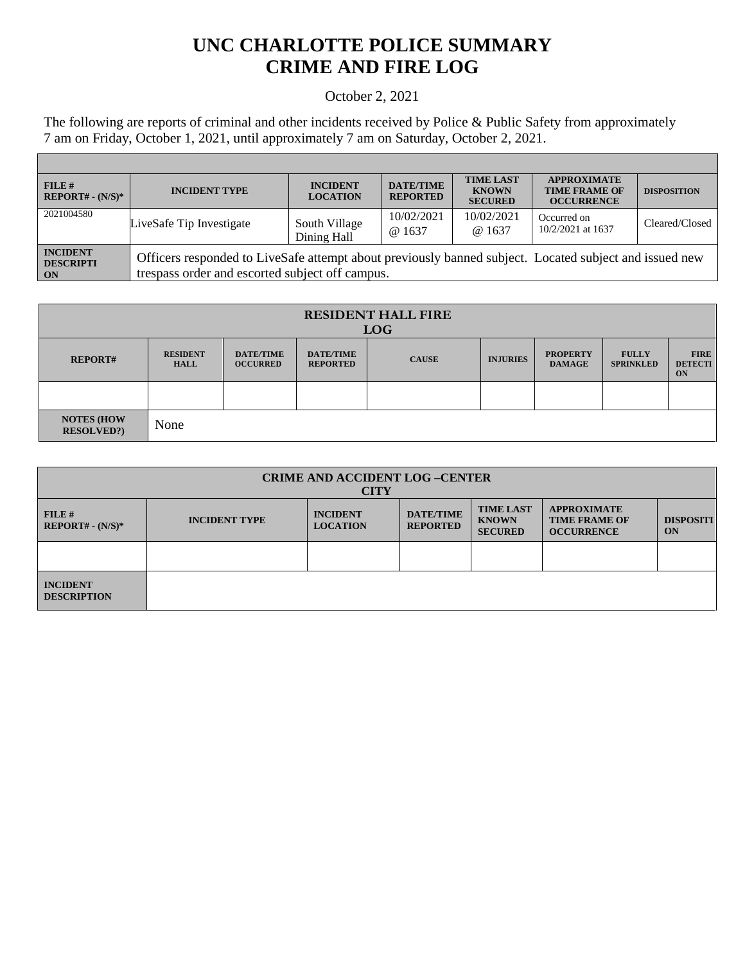## **UNC CHARLOTTE POLICE SUMMARY CRIME AND FIRE LOG**

## October 2, 2021

The following are reports of criminal and other incidents received by Police & Public Safety from approximately 7 am on Friday, October 1, 2021, until approximately 7 am on Saturday, October 2, 2021.

Г

| FILE#<br>$REPORT# - (N/S)*$               | <b>INCIDENT TYPE</b>                                                                                                                                      | <b>INCIDENT</b><br><b>LOCATION</b> | <b>DATE/TIME</b><br><b>REPORTED</b> | <b>TIME LAST</b><br><b>KNOWN</b><br><b>SECURED</b> | <b>APPROXIMATE</b><br><b>TIME FRAME OF</b><br><b>OCCURRENCE</b> | <b>DISPOSITION</b> |
|-------------------------------------------|-----------------------------------------------------------------------------------------------------------------------------------------------------------|------------------------------------|-------------------------------------|----------------------------------------------------|-----------------------------------------------------------------|--------------------|
| 2021004580                                | LiveSafe Tip Investigate                                                                                                                                  | South Village<br>Dining Hall       | 10/02/2021<br>@ 1637                | 10/02/2021<br>@ 1637                               | Occurred on<br>$10/2/2021$ at 1637                              | Cleared/Closed     |
| <b>INCIDENT</b><br><b>DESCRIPTI</b><br>ON | Officers responded to LiveSafe attempt about previously banned subject. Located subject and issued new<br>trespass order and escorted subject off campus. |                                    |                                     |                                                    |                                                                 |                    |

| <b>RESIDENT HALL FIRE</b><br><b>LOG</b> |                                |                                     |                                     |              |                 |                                  |                                  |                                     |
|-----------------------------------------|--------------------------------|-------------------------------------|-------------------------------------|--------------|-----------------|----------------------------------|----------------------------------|-------------------------------------|
| <b>REPORT#</b>                          | <b>RESIDENT</b><br><b>HALL</b> | <b>DATE/TIME</b><br><b>OCCURRED</b> | <b>DATE/TIME</b><br><b>REPORTED</b> | <b>CAUSE</b> | <b>INJURIES</b> | <b>PROPERTY</b><br><b>DAMAGE</b> | <b>FULLY</b><br><b>SPRINKLED</b> | <b>FIRE</b><br><b>DETECTI</b><br>ON |
|                                         |                                |                                     |                                     |              |                 |                                  |                                  |                                     |
| <b>NOTES (HOW</b><br><b>RESOLVED?</b>   | None                           |                                     |                                     |              |                 |                                  |                                  |                                     |

| <b>CRIME AND ACCIDENT LOG-CENTER</b><br><b>CITY</b> |                      |                                    |                                     |                                                    |                                                                 |                        |  |
|-----------------------------------------------------|----------------------|------------------------------------|-------------------------------------|----------------------------------------------------|-----------------------------------------------------------------|------------------------|--|
| $FILE$ #<br>$REPORT# - (N/S)*$                      | <b>INCIDENT TYPE</b> | <b>INCIDENT</b><br><b>LOCATION</b> | <b>DATE/TIME</b><br><b>REPORTED</b> | <b>TIME LAST</b><br><b>KNOWN</b><br><b>SECURED</b> | <b>APPROXIMATE</b><br><b>TIME FRAME OF</b><br><b>OCCURRENCE</b> | <b>DISPOSITI</b><br>ON |  |
|                                                     |                      |                                    |                                     |                                                    |                                                                 |                        |  |
| <b>INCIDENT</b><br><b>DESCRIPTION</b>               |                      |                                    |                                     |                                                    |                                                                 |                        |  |